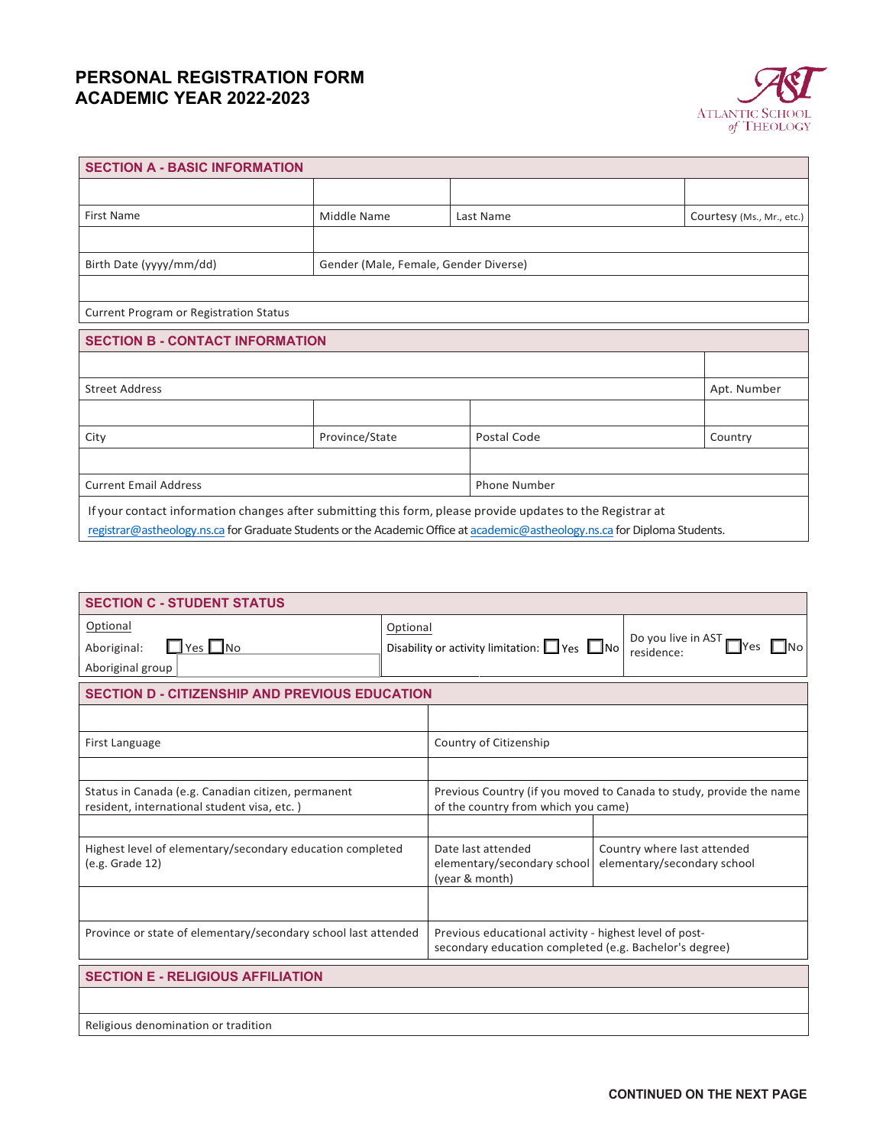# **PERSONAL REGISTRATION FORM ACADEMIC YEAR 2022-2023**



| <b>SECTION A - BASIC INFORMATION</b>   |                |                                                                                                                            |                           |  |
|----------------------------------------|----------------|----------------------------------------------------------------------------------------------------------------------------|---------------------------|--|
|                                        |                |                                                                                                                            |                           |  |
| <b>First Name</b>                      | Middle Name    | Last Name                                                                                                                  | Courtesy (Ms., Mr., etc.) |  |
|                                        |                |                                                                                                                            |                           |  |
| Birth Date (yyyy/mm/dd)                |                | Gender (Male, Female, Gender Diverse)                                                                                      |                           |  |
|                                        |                |                                                                                                                            |                           |  |
| Current Program or Registration Status |                |                                                                                                                            |                           |  |
| <b>SECTION B - CONTACT INFORMATION</b> |                |                                                                                                                            |                           |  |
|                                        |                |                                                                                                                            |                           |  |
| <b>Street Address</b>                  |                |                                                                                                                            | Apt. Number               |  |
|                                        |                |                                                                                                                            |                           |  |
| City                                   | Province/State | Postal Code                                                                                                                | Country                   |  |
|                                        |                |                                                                                                                            |                           |  |
| <b>Current Email Address</b>           |                | Phone Number                                                                                                               |                           |  |
|                                        |                | If your contact information changes after submitting this form, please provide updates to the Registrar at                 |                           |  |
|                                        |                | registrar@astheology.ns.ca for Graduate Students or the Academic Office at academic@astheology.ns.ca for Diploma Students. |                           |  |

| <b>SECTION C - STUDENT STATUS</b>                                                                 |          |                                                                                                                  |  |                                                            |  |
|---------------------------------------------------------------------------------------------------|----------|------------------------------------------------------------------------------------------------------------------|--|------------------------------------------------------------|--|
| Optional                                                                                          | Optional |                                                                                                                  |  |                                                            |  |
| $\Box$ Yes $\Box$ No<br>Aboriginal:                                                               |          | Disability or activity limitation: $\Box$ Yes $\Box$ No                                                          |  | Do you live in AST<br>- INo<br>residence:                  |  |
| Aboriginal group                                                                                  |          |                                                                                                                  |  |                                                            |  |
| <b>SECTION D - CITIZENSHIP AND PREVIOUS EDUCATION</b>                                             |          |                                                                                                                  |  |                                                            |  |
|                                                                                                   |          |                                                                                                                  |  |                                                            |  |
| First Language                                                                                    |          | Country of Citizenship                                                                                           |  |                                                            |  |
|                                                                                                   |          |                                                                                                                  |  |                                                            |  |
| Status in Canada (e.g. Canadian citizen, permanent<br>resident, international student visa, etc.) |          | Previous Country (if you moved to Canada to study, provide the name<br>of the country from which you came)       |  |                                                            |  |
|                                                                                                   |          |                                                                                                                  |  |                                                            |  |
| Highest level of elementary/secondary education completed<br>(e.g. Grade 12)                      |          | Date last attended<br>elementary/secondary school<br>(year & month)                                              |  | Country where last attended<br>elementary/secondary school |  |
|                                                                                                   |          |                                                                                                                  |  |                                                            |  |
| Province or state of elementary/secondary school last attended                                    |          | Previous educational activity - highest level of post-<br>secondary education completed (e.g. Bachelor's degree) |  |                                                            |  |
| <b>SECTION E - RELIGIOUS AFFILIATION</b>                                                          |          |                                                                                                                  |  |                                                            |  |
|                                                                                                   |          |                                                                                                                  |  |                                                            |  |
| Religious denomination or tradition                                                               |          |                                                                                                                  |  |                                                            |  |